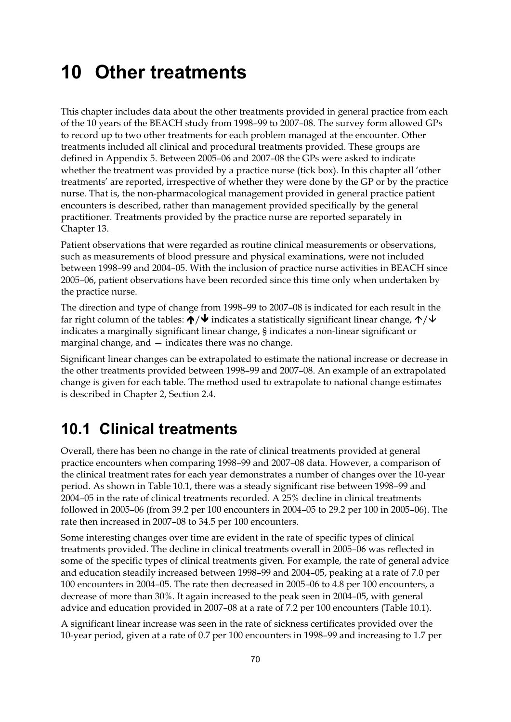## **10 Other treatments**

This chapter includes data about the other treatments provided in general practice from each of the 10 years of the BEACH study from 1998–99 to 2007–08. The survey form allowed GPs to record up to two other treatments for each problem managed at the encounter. Other treatments included all clinical and procedural treatments provided. These groups are defined in Appendix 5. Between 2005–06 and 2007–08 the GPs were asked to indicate whether the treatment was provided by a practice nurse (tick box). In this chapter all 'other treatments' are reported, irrespective of whether they were done by the GP or by the practice nurse. That is, the non-pharmacological management provided in general practice patient encounters is described, rather than management provided specifically by the general practitioner. Treatments provided by the practice nurse are reported separately in Chapter 13.

Patient observations that were regarded as routine clinical measurements or observations, such as measurements of blood pressure and physical examinations, were not included between 1998–99 and 2004–05. With the inclusion of practice nurse activities in BEACH since 2005–06, patient observations have been recorded since this time only when undertaken by the practice nurse.

The direction and type of change from 1998–99 to 2007–08 is indicated for each result in the far right column of the tables:  $\bigwedge^{\mathord{\blacklozenge}}\bigvee$  indicates a statistically significant linear change,  $\bigwedge^{\mathord{\blacklozenge}}\bigvee$ indicates a marginally significant linear change, § indicates a non-linear significant or marginal change, and — indicates there was no change.

Significant linear changes can be extrapolated to estimate the national increase or decrease in the other treatments provided between 1998–99 and 2007–08. An example of an extrapolated change is given for each table. The method used to extrapolate to national change estimates is described in Chapter 2, Section 2.4.

## **10.1 Clinical treatments**

Overall, there has been no change in the rate of clinical treatments provided at general practice encounters when comparing 1998–99 and 2007–08 data. However, a comparison of the clinical treatment rates for each year demonstrates a number of changes over the 10-year period. As shown in Table 10.1, there was a steady significant rise between 1998–99 and 2004–05 in the rate of clinical treatments recorded. A 25% decline in clinical treatments followed in 2005–06 (from 39.2 per 100 encounters in 2004–05 to 29.2 per 100 in 2005–06). The rate then increased in 2007–08 to 34.5 per 100 encounters.

Some interesting changes over time are evident in the rate of specific types of clinical treatments provided. The decline in clinical treatments overall in 2005–06 was reflected in some of the specific types of clinical treatments given. For example, the rate of general advice and education steadily increased between 1998–99 and 2004–05, peaking at a rate of 7.0 per 100 encounters in 2004–05. The rate then decreased in 2005–06 to 4.8 per 100 encounters, a decrease of more than 30%. It again increased to the peak seen in 2004–05, with general advice and education provided in 2007–08 at a rate of 7.2 per 100 encounters (Table 10.1).

A significant linear increase was seen in the rate of sickness certificates provided over the 10-year period, given at a rate of 0.7 per 100 encounters in 1998–99 and increasing to 1.7 per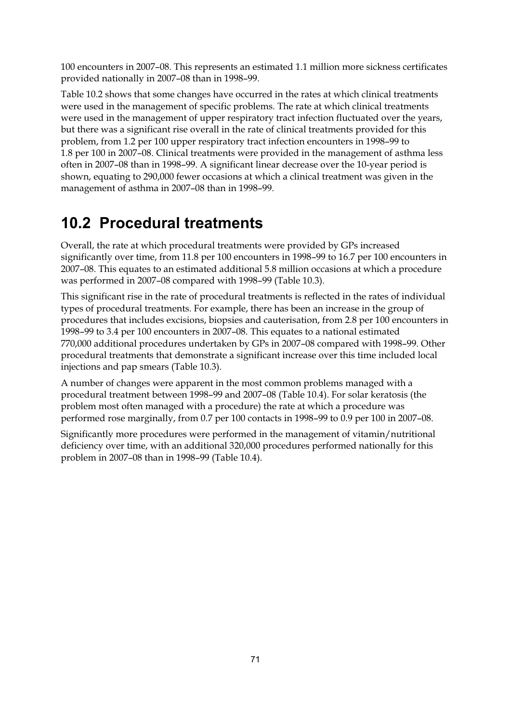100 encounters in 2007–08. This represents an estimated 1.1 million more sickness certificates provided nationally in 2007–08 than in 1998–99.

Table 10.2 shows that some changes have occurred in the rates at which clinical treatments were used in the management of specific problems. The rate at which clinical treatments were used in the management of upper respiratory tract infection fluctuated over the years, but there was a significant rise overall in the rate of clinical treatments provided for this problem, from 1.2 per 100 upper respiratory tract infection encounters in 1998–99 to 1.8 per 100 in 2007–08. Clinical treatments were provided in the management of asthma less often in 2007–08 than in 1998–99. A significant linear decrease over the 10-year period is shown, equating to 290,000 fewer occasions at which a clinical treatment was given in the management of asthma in 2007–08 than in 1998–99.

## **10.2 Procedural treatments**

Overall, the rate at which procedural treatments were provided by GPs increased significantly over time, from 11.8 per 100 encounters in 1998–99 to 16.7 per 100 encounters in 2007–08. This equates to an estimated additional 5.8 million occasions at which a procedure was performed in 2007–08 compared with 1998–99 (Table 10.3).

This significant rise in the rate of procedural treatments is reflected in the rates of individual types of procedural treatments. For example, there has been an increase in the group of procedures that includes excisions, biopsies and cauterisation, from 2.8 per 100 encounters in 1998–99 to 3.4 per 100 encounters in 2007–08. This equates to a national estimated 770,000 additional procedures undertaken by GPs in 2007–08 compared with 1998–99. Other procedural treatments that demonstrate a significant increase over this time included local injections and pap smears (Table 10.3).

A number of changes were apparent in the most common problems managed with a procedural treatment between 1998–99 and 2007–08 (Table 10.4). For solar keratosis (the problem most often managed with a procedure) the rate at which a procedure was performed rose marginally, from 0.7 per 100 contacts in 1998–99 to 0.9 per 100 in 2007–08.

Significantly more procedures were performed in the management of vitamin/nutritional deficiency over time, with an additional 320,000 procedures performed nationally for this problem in 2007–08 than in 1998–99 (Table 10.4).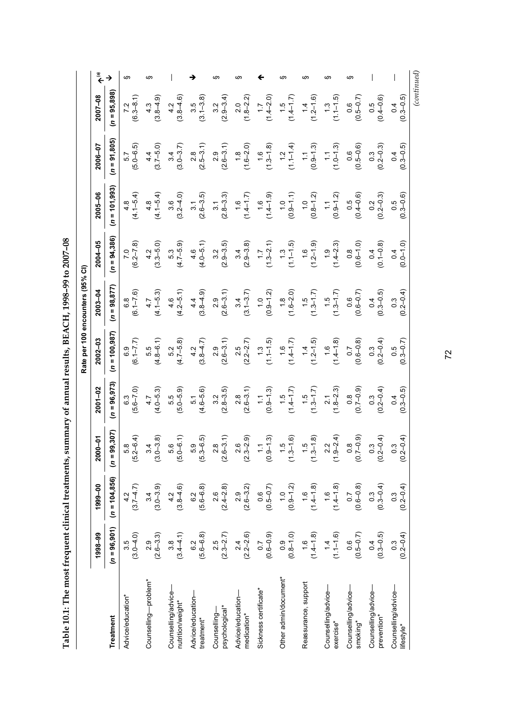**Table 10.1: The most frequent clinical treatments, summary of annual results, BEACH, 1998–99 to 2007–08**  Table 10.1: The most frequent clinical treatments, summary of annual results, BEACH, 1998-99 to 2007-08

*(continued)***(a)** § §  $\overline{\phantom{a}}$  $\overline{\phantom{a}}$  $\overline{\phantom{a}}$ § § § § → →  $\overline{\phantom{m}}$ § § Гreatment (л = 95,306) (л = 95,375) (л = 95,377) (л = 95,372) (л = 95,377) (л = 95,377) (л = 95,898) (л = 95,988) (л = 95,898) (л = 95,898) (л = 95,898)  $(n = 95,898)$ (3.1–3.8)  $(0.3 - 0.5)$ (6.3–8.1) (3.8–4.6) (2.9–3.4)  $(1.8 - 2.2)$  $(1.4 - 2.0)$  $(1.1 - 1.5)$ (0.5–0.7) (0.4–0.6)  $2007 - 08$  $(1.4 - 1.7)$ (3.8–4.9)  $(1.2 - 1.6)$ **1998–99 1999–00 2000–01 2001–02 2002–03 2003–04 2004–05 2005–06 2006–07 2007–08** 1.5 3.5 1.7 1.4 0.5 4.3 1.3 0.4 4.2  $\frac{6}{5}$ 7.2 3.2  $\frac{1}{2}$  $(n = 91, 805)$ (5.0–6.5) (2.6–3.1)  $(1.3 - 1.8)$  $(1.1 - 1.4)$  $(1.0 - 1.3)$ (0.5–0.6) (3.7–5.0) (2.5–3.1)  $(1.6 - 2.0)$  $(0.9 - 1.3)$  $(0.2 - 0.3)$ (0.3–0.5) (3.0–3.7) 2006-07 4.4 1.8 1.1  $\frac{1}{11}$ 0.3 5.7 3.4  $\frac{8}{2}$ .<br>ი  $\frac{6}{1}$  $\frac{2}{1}$ 0.6  $^{14}$  $(n = 101, 993)$ (4.1–5.4)  $(4.1 - 5.4)$ (2.6–3.5) (2.8–3.3)  $2005 - 06$ (3.2–4.0)  $(6.1 - 1.4)$ (0.9–1.1)  $(0.9 - 1.2)$ (0.4–0.6) (0.2–0.3) (1.4–1.7)  $0.8 - 1.2$ (0.3–0.6) 4.8 1.6 1.6 1.0 1.0 0.5  $\frac{1}{1}$ 0.5 3.6 3.1 0.2 4.8  $\frac{1}{3}$  $(n = 94,386)$  $2004 - 05$ (6.2–7.8) (4.0–5.1) (2.9–3.5) (1.3–2.1) (3.3–5.0) (4.7–5.9) (2.9–3.8)  $(1.1 - 1.5)$ (1.2–1.9) (1.4–2.3) (0.6–1.0) (0.1–0.8)  $0.0 - 1.0$ 1.3 4.2 3.4 1.6 0.8 5.3 1.9 0.4 0.4  $\frac{1}{2}$ 4.6 3.2  $\overline{1}$ **Rate per 100 encounters (95% CI)**  Rate per 100 encounters (95% CI)  $(n = 98, 877)$ (6.1–7.6) (4.1–5.3) (2.6–3.1)  $2003 - 04$ (4.2–5.1) (3.8–4.9) (3.1–3.7)  $0.9 - 1.2$  $(1.6 - 2.0)$ (0.6–0.7) (0.3–0.5)  $(0.2 - 0.4)$  $(1.3 - 1.7)$  $(1.3 - 1.7)$ 1.8 1.5 4.4 3.4 1.0 1.5 0.6 0.4 0.3 4.7 4.6  $\frac{8}{6}$ .<br>ი  $(n = 100, 987)$ (6.1–7.7) (4.8–6.1) (3.8–4.7) (2.6–3.1)  $(1.4 - 1.7)$ (0.6–0.8)  $(0.2 - 0.4)$ (0.3–0.7)  $2002 - 03$ (4.7–5.8) (2.2–2.7) (1.1–1.5)  $(1.2-1.5)$ (1.4–1.8) 2.5 1.6 1.3 1.4 1.6 5.2 6.9 5.5 4.2 .<br>ი 0.7 0.3 0.5  $(n = 96, 973)$  $2001 - 02$ (5.6–7.0) (4.0–5.3) (4.6–5.6) (2.8–3.5)  $(1.4 - 1.7)$  $(0.7-0.9)$  $(0.2 - 0.4)$ (5.0–5.9) (2.6–3.1)  $(0.9 - 1.3)$  $(1.3 - 1.7)$  $(1.8 - 2.3)$ (0.3–0.5) 1.5 6.3 4.7 2.8 1.5 0.8 0.3 5.5  $\sum$ 2.1 0.4 5. 3.2  $(n = 99, 307)$ (5.2–6.4) (3.0–3.8) (5.3–6.5) (2.6–3.1) (2.3–2.9)  $(1.3 - 1.6)$ (1.3–1.8)  $(0.7-0.9)$  $(0.2 - 0.4)$ (0.2–0.4)  $2000 - 01$ (5.0–6.1)  $0.9 - 1.3$ (1.9–2.4) 5.8 3.4 2.6 1.1 1.5 1.5 5.6 2.2 თ<br>ი  $\frac{8}{2}$  $\frac{8}{10}$ 0.3 0.3  $(n = 104, 856)$  $(3.7 - 4.7)$ (5.6–6.8)  $(2.4 - 2.8)$ (0.5–0.7)  $(0.9 - 1.2)$ (0.6–0.8)  $(0.3 - 0.4)$ 1999-00 (3.0–3.9)  $(1.4 - 1.8)$  $(0.2 - 0.4)$  $(3.8 - 4.6)$ (2.6–3.2)  $(1.4 - 1.8)$ 4.2 2.9 1.0 1.6 0.3 3.4 1.6 0.3 0.7 4.2  $\frac{2}{3}$ 2.6  $\frac{6}{5}$  $(n = 96, 901)$ (3.0–4.0) (2.3–2.7)  $(0.6-0.9)$  $(0.8-1.0)$ (0.5–0.7) (0.3–0.5) 1998-99 (2.6–3.3)  $(3.4 - 4.1)$ (5.6–6.8) (2.2–2.6) (1.4–1.8)  $(1.1 - 1.6)$ (0.2–0.4) 3.5  $2.9$ 2.4  $1.6$ 3.8 1.4 Advice/education\* 3.5 Counselling—problem\* 2.9  $\frac{2}{3}$ 2.5 Sickness certificate\* 0.7 Other admin/document\* 0.9 Reassurance, support 1.6  $\frac{6}{1}$  $\overline{0}$ 0.3 Other admin/document Counselling—problem\* Reassurance, support Counselling/advice— Counselling/advice— Counselling/advice— Counselling/advice— Counselling/advice— Counselling/advice-Counselling/advice-Counselling/advice-Sickness certificate\* Counselling/advice-Advice/education— Advice/education-Advice/education— Counselling/advice-Advice/education-Advice/education\* nutrition/weight\* nutrition/weight\* psychological\* psychological\* Counselling-Counselling medication\* medication\* prevention\* prevention\* **Treatment** treatment\* treatment\* exercise\* exercise\* smoking\* lifestyle\*

72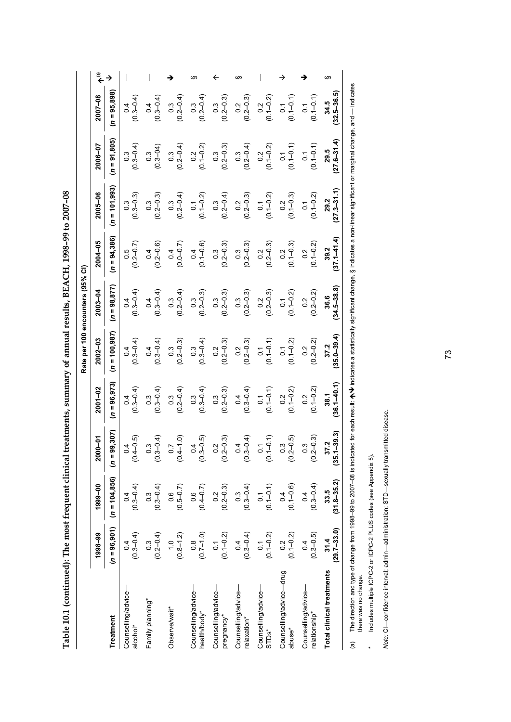| $\frac{1}{2}$                                                                                                                                                                                                                        |
|--------------------------------------------------------------------------------------------------------------------------------------------------------------------------------------------------------------------------------------|
| יٌ                                                                                                                                                                                                                                   |
| ;<br>ו<br>ו                                                                                                                                                                                                                          |
| <b>CONTRACT SECTION FOR THE SECTION AND REALLY REALLY FOR SECTION AND REALLY REALLY REALLY REALLY REALLY REALLY RE</b><br>ו<br>ו<br>1                                                                                                |
|                                                                                                                                                                                                                                      |
|                                                                                                                                                                                                                                      |
|                                                                                                                                                                                                                                      |
| <b>The Canadian Contraction of the Canadian Canadian Canadian Canadian Canadian Canadian Canadian Canadian Canadian Canadian Canadian Canadian Canadian Canadian Canadian Canadian Canadian Canadian Canadian Canadian Canadian </b> |
| ---------                                                                                                                                                                                                                            |
|                                                                                                                                                                                                                                      |
| Í                                                                                                                                                                                                                                    |
| j                                                                                                                                                                                                                                    |
| ś                                                                                                                                                                                                                                    |
| ļ                                                                                                                                                                                                                                    |
| ֖֖֪ׅ֪ׅ֚֚֚֚֚֚֚֚֚֚֚֚֚֚֚֚֚֚֚֚֚֡֝֝֝֝֝֝֝֝֝֝֬֝֝֬֝֬֝֬֝֬֝֬֝֓֬֝֓֬֝֓֞֬֝֬                                                                                                                                                                       |

|                                               |                                 |                                                   |                         |                         |                                                   | Rate per 100 encounters (95% CI) |                                                   |                                                   |                                                   |                                                   |    |
|-----------------------------------------------|---------------------------------|---------------------------------------------------|-------------------------|-------------------------|---------------------------------------------------|----------------------------------|---------------------------------------------------|---------------------------------------------------|---------------------------------------------------|---------------------------------------------------|----|
|                                               | 1998-99                         | 1999-00                                           | 2000-01                 | $2001 - 02$             | $2002 - 03$                                       | 2003-04                          | 2004-05                                           | 2005-06                                           | 2006-07                                           | 2007-08                                           |    |
| <b>Treatment</b>                              | $(n = 96, 901)$                 | $(n = 104, 856)$                                  | 99,307)<br>$(n = 9)$    | $(n = 96, 973)$         | $(n = 100, 987)$                                  | $(n = 98, 877)$                  | $(n = 94, 386)$                                   | $(n = 101, 993)$                                  | $(n = 91, 805)$                                   | $(n = 95,898)$                                    |    |
| Counselling/advice-<br>alcohol*               | $(0.3 - 0.4)$<br>0.4            | $(0.3-0.4)$                                       | $(0.4 - 0.5)$           | $(0.3 - 0.4)$           | $(0.3 - 0.4)$<br>$\overline{0}$                   | $(0.3 - 0.4)$<br>$\overline{0}$  | $(0.5$<br>(0.2–0.7)                               | $(0.3 - 0.3)$                                     | $(0.3 - 0.4)$<br>$0.\overline{3}$                 | $(0.3 - 0.4)$<br>0.4                              |    |
| Family planning*                              | $0.3$<br>(0.2–0.4)              | $(0.3 - 0.4)$                                     | $(0.3 - 0.4)$           | $(0.3 - 0.4)$           | $(0.3 - 0.4)$<br>0.4                              | $(0.3 - 0.4)$<br>$\overline{6}$  | $0.4$<br>$(0.2 - 0.6)$                            | $\begin{array}{c} 0.3 \\ (0.2 - 0.3) \end{array}$ | $(0.3 - 04)$<br>$0.\overline{3}$                  | $(0.3 - 0.4)$                                     |    |
| Observe/wait*                                 | $(0.8-1.2)$                     | $(0.5 - 0.7)$                                     | $(0.4 - 1.0)$           | $(0.3$<br>$(0.2 - 0.4)$ | $(0.3)$<br>$(0.2 - 0.3)$                          | $(0.3$<br>(0.2–0.4)              | $(0.0 - 0.7)$                                     | $0.3$<br>(0.2–0.4)                                | $0.3$<br>(0.2–0.4)                                | $0.3$<br>$(0.2 - 0.4)$                            |    |
| Counselling/advice-<br>health/body*           | $(0.7-1.0)$                     | $(0.6$<br>(0.4-0.7)                               | $(0.3 - 0.5)$           | $(0.3 - 0.4)$           | $(0.3 - 0.4)$                                     | $(0.3$<br>$(0.2 - 0.3)$          | $(0.1 - 0.6)$<br>0.4                              | $0.1$<br>(0.1-0.2)                                | $0.2$<br>(0.1–0.2)                                | $0.3$<br>$(0.2 - 0.4)$                            |    |
| Counselling/advice-<br>pregnancy*             | $0.1$<br>(0.1-0.2)              | $\begin{array}{c} 0.2 \\ (0.2 - 0.3) \end{array}$ | (2, 3)<br>$(0.2 - )$    | $(0.3$<br>$(0.2 - 0.3)$ | $(0.2 - 0.3)$                                     | $(0.3$<br>$(0.2 - 0.3)$          | $\begin{array}{c} 0.3 \\ (0.2 - 0.3) \end{array}$ | $0.3$<br>(0.2–0.4)                                | $\begin{array}{c} 0.3 \\ (0.2 - 0.3) \end{array}$ | $\begin{array}{c} 0.3 \\ (0.2 - 0.3) \end{array}$ |    |
| Counselling/advice-<br>relaxation*            | $(0.3-0.4)$                     | $(0.3 - 0.4)$                                     | $\frac{4}{4}$<br>(0.3)  | $0.4$<br>(0.3–0.4)      | $\begin{array}{c} 0.2 \\ (0.2 - 0.3) \end{array}$ | $(0.3)$<br>$(0.2 - 0.3)$         | $\begin{array}{c} 0.3 \\ (0.2 - 0.3) \end{array}$ | $\begin{array}{c} 0.2 \\ 0.2 - 0.3 \end{array}$   | $0.3$<br>(0.2–0.4)                                | $0.2$<br>(0.2–0.3)                                |    |
| Counselling/advice—<br>STDs*                  | $0.1$<br>(0.1-0.2)              | $(0.1 - 0.1)$                                     | $(0.1 - 0.1)$           | $0.1$<br>(0.1-0.1)      | $(0.1 - 0.1)$<br>$\overline{0}$                   | $0.2$<br>(0.2–0.3)               | $\begin{array}{c} 0.2 \\ (0.2 - 0.3) \end{array}$ | $0.1$<br>(0.1-0.2)                                | $0.2$<br>(0.1-0.2)                                | $0.2$<br>(0.1–0.2)                                |    |
| Counselling/advice-drug<br>abuse <sup>*</sup> | $0.2$<br>(0.1–0.2)              | $(0.1 - 0.6)$                                     | $(0.3$<br>$(0.2-0.5)$   | $(0.1 - 0.2)$<br>0.2    | $(0.1 - 0.2)$<br>$\overline{0}$ .                 | $(0.1 - 0.2)$<br>$\overline{0}$  | $0.2$<br>(0.1-0.3)                                | $0.2$<br>(0.1–0.3)                                | $(0.1 - 0.1)$<br>$\overline{0}$                   | $(0.1 - 0.1)$                                     |    |
| Counselling/advice-<br>relationship*          | $(0.3 - 0.5)$<br>$\overline{6}$ | $(0.3 - 0.4)$<br>0.4                              | $-0.3$<br>ω.<br>(0.2)   | $(0.1 - 0.2)$<br>0.2    | $(0.2 - 0.2)$<br>$0.\overline{2}$                 | $(0.2 - 0.2)$<br>0.2             | $(0.1 - 0.2)$<br>0.2                              | $(0.1 - 0.2)$<br>$\overline{0}$ .                 | $(0.1 - 0.1)$<br>$\overline{0}$                   | $(0.1 - 0.1)$<br>$\overline{0}$ .                 |    |
| <b>Total clinical treatments</b>              | $(29.7 - 33.0)$<br>31.4         | $(31.8 - 35.2)$<br>33.5                           | $(35.1 - 39.3)$<br>37.2 | $36.1 - 40.1$<br>38.1   | $35.0 - 39.4$<br>37.2                             | $34.5 - 38.8$<br>36.6            | $37.1 - 41.4$<br>39.2                             | $27.3 - 31.1$<br>29.2                             | $27.6 - 31.4$<br>29.5                             | $(32.5 - 36.5)$<br>34.5                           | w. |
|                                               |                                 |                                                   |                         |                         |                                                   |                                  |                                                   |                                                   |                                                   |                                                   |    |

(a) The direction and type of change from 1998–99 to 2007–08 is indicated for each result: ♠/♦ indicates a statistically significant change, § indicates a non-linear significant or marginal change, and — indicates<br>there w  $\bm{\psi}$  indicates a statistically significant change, § indicates a non-linear significant or marginal change, and — indicates (a) The direction and type of change from 1998–99 to 2007–08 is indicated for each result:  $\spadesuit$ there was no change.

Includes multiple ICPC-2 or ICPC-2 PLUS codes (see Appendix 5). \* Includes multiple ICPC-2 or ICPC-2 PLUS codes (see Appendix 5).  $\ddot{\phantom{1}}$ 

Note: Cl-confidence interval; admin-administration; STD-sexually transmitted disease. *Note:* CI—confidence interval; admin—administration; STD—sexually transmitted disease.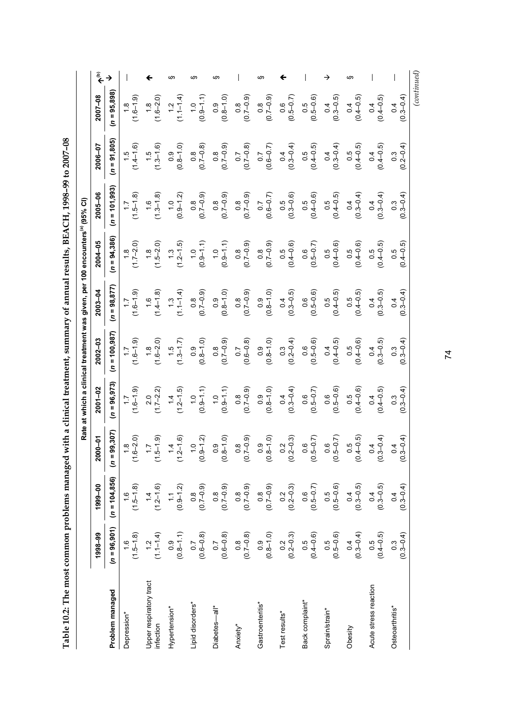| REACH 1008 00 to 2007 08<br>・ノー・ファイン インファ |  |
|-------------------------------------------|--|
|                                           |  |
|                                           |  |
|                                           |  |
|                                           |  |
|                                           |  |
|                                           |  |
|                                           |  |
|                                           |  |
| 一つ アクライク せんしょう こうそう うらくらく アクリート うち        |  |
|                                           |  |
|                                           |  |
|                                           |  |
|                                           |  |
| きこう カセサジャ てうりょうりょう                        |  |
|                                           |  |
|                                           |  |
| $\frac{1}{2}$                             |  |
| l                                         |  |
|                                           |  |
|                                           |  |
|                                           |  |
|                                           |  |
| ותו באטיבי דוח                            |  |
| $T_{\rm c}$ $T_{\rm c}$ $T_{\rm c}$       |  |

|                                     |                                                     |                                                                                            |                                                       |                        | Rate at which a clinical treatment was given, per 100 encounters <sup>(a)</sup> (95% CI) |                         |                         |                                                 |                                   |                                |     |
|-------------------------------------|-----------------------------------------------------|--------------------------------------------------------------------------------------------|-------------------------------------------------------|------------------------|------------------------------------------------------------------------------------------|-------------------------|-------------------------|-------------------------------------------------|-----------------------------------|--------------------------------|-----|
|                                     | 1998-99                                             | 1999-00                                                                                    | $00 - 01$<br>ম                                        | $2001 - 02$            | $2002 - 03$                                                                              | $2003 - 04$             | $2004 - 05$             | 2005-06                                         | 2006-07                           | 2007-08                        | مٌ﴾ |
| Problem managed                     | $(n = 96,901)$                                      | $(n = 104, 856)$                                                                           | $(n = 99, 307)$                                       | $= 96, 973$<br>S       | $= 100,987$<br>S                                                                         | $(n = 98, 877)$         | $= 94,386$<br>S         | $(n = 101, 993)$                                | $(n = 91,805)$                    | $(n = 95, 898)$                |     |
| Depression*                         | $(1.5 - 1.8)$                                       | $(1.5 - 1.8)$                                                                              | $(1.8)$<br>$6 - 2.0$                                  | $(1.6 - 1.9)$          | $(1.6 - 1.9)$                                                                            | $(1.6 - 1.9)$           | $(1.7 - 2.0)$           | $(1.5 - 1.8)$                                   | $(1.5$<br>$(1.4-1.6)$             | $(1.6 - 1.9)$                  |     |
| Upper respiratory tract<br>nfection | $(1.1 - 1.4)$                                       | $(1.2 - 1.6)$                                                                              | $\frac{17}{5}$ (e)                                    | $(1.7-2.2)$            | $(1.6 - 2.0)$                                                                            | $(1.6$<br>$(1.4-1.8)$   | $(1.5 - 2.0)$           | $(1.3 - 1.8)$                                   | $(1.5$<br>$(1.3-1.6)$             | $(1.6 - 2.0)$                  |     |
| Hypertension*                       | $\begin{array}{c} 0.9 \\ (0.8 - 1.1) \end{array}$   | $(0.9 - 1.2)$                                                                              | $\frac{14}{2-1.6}$                                    | $(1.2 - 1.5)$          | $(1.3 - 1.7)$                                                                            | $(1.1-1.4)$             | $(1.3)$<br>$(1.2-1.5)$  | $(0.9 - 1.2)$                                   | $(0.8 - 1.0)$                     | $(1.1 - 1.4)$<br>$\frac{1}{2}$ |     |
| Lipid disorders*                    | $(0.6 - 0.8)$                                       | $(0.7 - 0.9)$                                                                              | $\frac{19}{3}$<br>ల                                   | $(0.9 - 1.1)$          | $(0.8 - 1.0)$                                                                            | $(6.0 - 7.0)$           | $(0.9 - 1.1)$           | $(0.7 - 0.9)$                                   | $(0.7 - 0.8)$                     | $(0.9 - 1.1)$                  |     |
| Diabetes—all*                       | $\begin{array}{c} 0.7 \\ 0.6{\rm -}0.8 \end{array}$ | $(0.7 - 0.9)$                                                                              | $\begin{array}{c} 0.9 \\ 0.1 \\ 0.0 \end{array}$<br>ల | $(0.9 - 1.1)$          | $(0.7 - 0.9)$                                                                            | $(0.8 - 1.0)$           | $(0.9 - 1.1)$           | $(0.7 - 0.9)$                                   | $(0.7 - 0.9)$                     | $(0.8 - 1.0)$                  | m   |
| Anxiety*                            | $\begin{array}{c} 0.8 \\ 0.7 - 0.8 \end{array}$     | $(0.7 - 0.9)$                                                                              | $(6.0 - 2)$<br>ల                                      | $(0.7 - 0.9)$          | $(0.6 - 0.8)$                                                                            | $(0.7 - 0.9)$           | $(0.7 - 0.9)$           | $(0.7 - 0.9)$                                   | $(0.7 - 0.8)$                     | $(0.7 - 0.9)$                  |     |
| Gastroenteritis*                    | $(0.8 - 1.0)$                                       |                                                                                            | $\begin{pmatrix} 0.9 \\ 8 - 1.0 \end{pmatrix}$<br>ల   | $(0.8 - 1.0)$          | $(0.8 - 1.0)$                                                                            | $(0.8 - 1.0)$           | $(6.0 - 7.0)$           | $(0.6 - 0.7)$                                   | $(0.6 - 0.7)$                     | $(0.7 - 0.9)$                  | w   |
| Test results*                       | $\begin{array}{c} 0.2 \\ 0.2 - 0.3 \end{array}$     | $\begin{array}{c} 0.8 \\ 0.7 - 0.9 \\ 0.2 \\ 0.2 - 0.3 \end{array}$                        | $0.2$<br>$-0.3$<br>ల                                  | $0.4$<br>(0.3–0.4)     | $0.3$<br>(0.2–0.4)                                                                       | $(0.3 - 0.5)$           | $0.5$<br>(0.4–0.6)      | $\begin{array}{c} 0.5 \\ 0.3 - 0.6 \end{array}$ | $(0.3-0.4)$                       | $(0.5 - 0.7)$                  |     |
| Back complaint*                     | $0.5$<br>(0.4–0.6)                                  |                                                                                            | $0.6$<br>$5 - 0.7$<br>ల                               | $(0.5 - 0.7)$          | $(0.5 - 0.6)$                                                                            | $(0.5 - 0.6)$           | $(0.5 - 0.7)$           | $0.5$<br>$(0.4 - 0.6)$                          | $(0.5$<br>$(0.4 - 0.5)$           | $0.5$<br>( $0.5-0.6$ )         |     |
| Sprain/strain*                      | $\begin{array}{c} 0.5 \\ 0.5{\rm -}0.6 \end{array}$ | $\begin{array}{c} 0.6 \\ (0.5\hbox{--}0.7) \\ 0.5 \\ 0.5 \\ (0.5\hbox{--}0.6) \end{array}$ | $0.6$<br>$5 - 0.7$<br>ల                               | $0.6$<br>( $0.5-0.6$ ) | $(0.4 - 0.5)$                                                                            | $(0.5$<br>$(0.4 - 0.5)$ | $0.5$<br>(0.4–0.6)      | $0.5$<br>(0.4–0.5)                              | $(0.3 - 0.4)$                     | $(0.3 - 0.5)$                  |     |
| Obesity                             | $(0.3 - 0.4)$                                       | $0.4$<br>(0.3–0.5)                                                                         | $0.5$<br>$4 - 0.5$<br>ల                               | $0.5$<br>(0.4–0.6)     | $0.5$<br>(0.4–0.6)                                                                       | $(0.5$<br>$(0.4 - 0.5)$ | $0.5$<br>$(0.4 - 0.6)$  | $(0.3 - 0.4)$                                   | $0.5$<br>(0.4–0.5)                | $(0.4 - 0.5)$                  |     |
| Acute stress reaction               | $0.5$<br>(0.4–0.5)                                  | $\begin{array}{c} 0.4 \\ (0.3{\rm -}0.5) \end{array}$                                      | $0.4$<br>$-0.4$<br>ల                                  | $(0.4 - 0.5)$          | $(0.3 - 0.5)$                                                                            | $(0.3 - 0.5)$           | $(0.5$<br>$(0.4 - 0.5)$ | $0.4$<br>(0.3–0.4)                              | $(0.4 - 0.5)$                     | $(0.4 - 0.5)$                  |     |
| Osteoarthritis*                     | $(0.3 - 0.4)$                                       | $0.4$<br>(0.3–0.4)                                                                         | $0.4$<br>$3 - 0.4$<br>$\circ$                         | $(0.3 - 0.4)$          | $(0.3 - 0.4)$                                                                            | $0.3 - 0.4$<br>0.4      | $(0.5$<br>$(0.4 - 0.5)$ | $(0.3 - 0.4)$                                   | $(0.2 - 0.4)$<br>$0.\overline{3}$ | $(0.3 - 0.4)$<br>0.4           |     |

74

 *(continued)*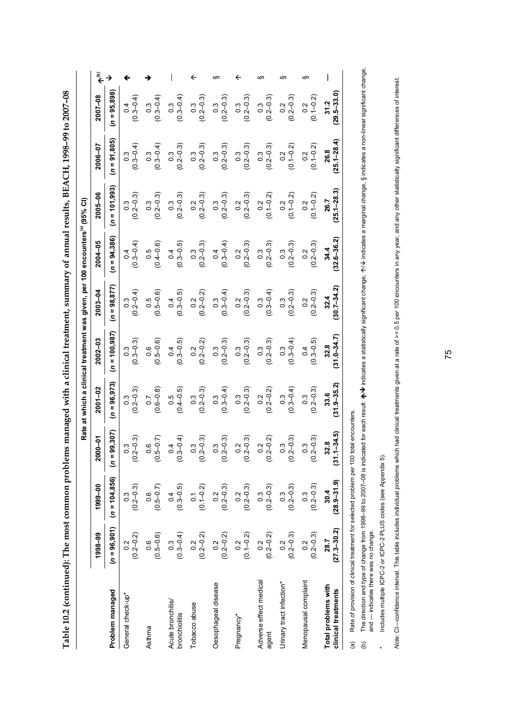Table 10.2 (continued): The most common problems managed with a clinical treatment, summary of annual results, BEACH, 1998-99 to 2007-08 **Table 10.2 (continued): The most common problems managed with a clinical treatment, summary of annual results, BEACH, 1998–99 to 2007–08** 

|                                                                                            |                                                  |                                                   |                                           |                                   | Rate at which a clinical treatment was given, per 100 encounters <sup>(a)</sup> (95% CI) |                          |                                                   |                                                   |                                                   |                                                   |    |
|--------------------------------------------------------------------------------------------|--------------------------------------------------|---------------------------------------------------|-------------------------------------------|-----------------------------------|------------------------------------------------------------------------------------------|--------------------------|---------------------------------------------------|---------------------------------------------------|---------------------------------------------------|---------------------------------------------------|----|
|                                                                                            | 1998-99                                          | 1999-00                                           | 2000-01                                   | $2001 - 02$                       | $2002 - 03$                                                                              | $2003 - 04$              | 2004-05                                           | 2005-06                                           | 2006-07                                           | 2007-08                                           |    |
| Problem managed                                                                            | $(n = 96, 901)$                                  | $(n = 104, 856)$                                  | 99,307)<br>$(n = 9)$                      | $(n = 96, 973)$                   | $(n = 100, 987)$                                                                         | $(n = 98, 877)$          | $(n = 94,386)$                                    | $(n = 101,993)$                                   | $(n = 91, 805)$                                   | $(n = 95,898)$                                    |    |
| General check-up*                                                                          | $\begin{pmatrix} 0.2 \\ 0.2 - 0.2 \end{pmatrix}$ | $(0.3)$<br>$(0.2-0.3)$                            | <u>" မ</u><br>$(0.2 -$                    | $(0.3)$<br>$(0.2 - 0.3)$          | $(0.3 - 0.3)$                                                                            | $(0.3$<br>$(0.2 - 0.4)$  | $(0.3 - 0.4)$                                     | $\begin{array}{c} 0.3 \\ (0.2 - 0.3) \end{array}$ | $0.3$<br>(0.3–0.4)                                | $(0.3 - 0.4)$                                     |    |
| Asthma                                                                                     | $(0.5-0.6)$                                      | $(0.5 - 0.7)$                                     | $\frac{7}{9}$<br>$\circ$<br>0.5           | $(0.6 - 0.8)$                     | $(0.5-0.6)$                                                                              | $(0.5 - 0.6)$            | $0.5$<br>$(0.4 - 0.6)$                            | $\begin{array}{c} 0.3 \\ (0.2 - 0.3) \end{array}$ | $0.3$<br>(0.3–0.4)                                | $(0.3 - 0.4)$                                     |    |
| Acute bronchitis/<br>bronchiolitis                                                         | $(0.3-0.4)$                                      | $(0.3 - 0.5)$                                     | $\frac{4}{4}$<br>$\circ$<br>$\frac{3}{2}$ | $0.5$<br>$(0.4 - 0.5)$            | $(0.3 - 0.5)$                                                                            | $(0.3 - 0.5)$            | $(0.3 - 0.5)$                                     | $\begin{array}{c} 0.3 \\ (0.2 - 0.3) \end{array}$ | $\begin{array}{c} 0.3 \\ (0.2 - 0.3) \end{array}$ | $0.3$<br>(0.3–0.4)                                |    |
| Tobacco abuse                                                                              | $\begin{pmatrix} 0.2 \\ 0.2 - 0.2 \end{pmatrix}$ | $0.1$<br>$(0.1 - 0.2)$                            | $\frac{3}{9}$<br>(0.2)                    | $(0.3)$<br>$(0.2 - 0.3)$          | $0.2$<br>(0.2–0.2)                                                                       | $0.2$<br>(0.2–0.2)       | $\begin{array}{c} 0.3 \\ (0.2 - 0.3) \end{array}$ | $0.2$<br>(0.2–0.3)                                | $\begin{array}{c} 0.3 \\ (0.2 - 0.3) \end{array}$ | $\begin{array}{c} 0.3 \\ (0.2 - 0.3) \end{array}$ |    |
| Oesophageal disease                                                                        | $(0.2 - 0.2)$                                    | $0.2$<br>$(0.2 - 0.3)$                            | $(0.3)$<br>$(0.2-0.3)$                    | $(0.3 - 0.4)$                     | $\begin{array}{c} 0.3 \\ 0.2 - 0.3 \end{array}$                                          | $0.3$<br>(0.3–0.4)       | $0.4$<br>(0.3–0.4)                                | $\begin{array}{c} 0.3 \\ (0.2 - 0.3) \end{array}$ | $\begin{array}{c} 0.3 \\ (0.2 - 0.3) \end{array}$ | $\begin{array}{c} 0.3 \\ (0.2 - 0.3) \end{array}$ |    |
| Pregnancy*                                                                                 | $0.2$<br>(0.1-0.2)                               | $\frac{0.2}{(0.2 - 0.3)}$                         | $(0.2 - 0.3)$                             | $(0.3)$<br>$(0.2 - 0.3)$          | $\begin{array}{c} 0.3 \\ (0.2 - 0.3) \end{array}$                                        | $0.2$<br>(0.2–0.3)       | $\begin{array}{c} 0.2 \\ 0.2 - 0.3 \end{array}$   | $0.2$<br>(0.2–0.3)                                | $\begin{array}{c} 0.3 \\ (0.2 - 0.3) \end{array}$ | $\begin{array}{c} 0.3 \\ (0.2 - 0.3) \end{array}$ |    |
| Adverse effect medical<br>agent                                                            | $\begin{pmatrix} 0.2 \\ 0.2 - 0.2 \end{pmatrix}$ | $\begin{array}{c} 0.3 \\ (0.2 - 0.3) \end{array}$ | $(0.2 - 0.2)$                             | $0.2$<br>(0.2–0.2)                | $\begin{array}{c} 0.3 \\ (0.2 - 0.3) \end{array}$                                        | $0.3$<br>(0.3–0.4)       | $\begin{array}{c} 0.3 \\ (0.2 - 0.3) \end{array}$ | $0.2$<br>(0.1–0.2)                                | $(0.3$<br>$(0.2 - 0.3)$                           | $\begin{array}{c} 0.3 \\ (0.2 - 0.3) \end{array}$ | ഗ  |
| Urinary tract infection*                                                                   | $\begin{array}{c} 0.2 \\ 0.2 - 0.3 \end{array}$  | $\begin{array}{c} 0.3 \\ 0.2 - 0.3 \end{array}$   | $\frac{3}{-0.3}$<br>(0.2)                 | $(0.3 - 0.4)$                     | $0.3$<br>(0.3–0.4)                                                                       | $(0.3)$<br>$(0.2 - 0.3)$ | $\begin{array}{c} 0.3 \\ (0.2 - 0.3) \end{array}$ | $0.2$<br>(0.1–0.2)                                | $0.2$<br>(0.1-0.2)                                | $0.2$<br>$(0.2 - 0.3)$                            | ഗ  |
| Menopausal complaint                                                                       | $(0.2 - 0.3)$<br>$0.\overline{2}$                | $(0.2 - 0.3)$<br>$0.\overline{3}$                 | $(0.3$<br>$(0.2-0.3)$                     | $(0.2 - 0.3)$<br>$0.\overline{3}$ | $(0.3 - 0.5)$<br>0.4                                                                     | $0.2$<br>(0.2–0.3)       | $(0.2 - 0.3)$                                     | $0.2$<br>(0.1–0.2)                                | $0.2$<br>(0.1-0.2)                                | $0.2$<br>(0.1-0.2)                                | w. |
| Total problems with<br>clinical treatments                                                 | $(27.3 - 30.2)$<br>28.7                          | $(28.9 - 31.9)$<br>30.4                           | $(31.1 - 34.5)$<br>32.8                   | $31.9 - 35.2$<br>33.6             | $(31.0 - 34.7)$<br>32.8                                                                  | $30.7 - 34.2$<br>32.4    | $32.6 - 36.2$<br>34.4                             | $25.1 - 28.3$<br>26.7                             | $25.1 - 28.4$<br>26.8                             | $29.5 - 33.0$<br>31.2                             |    |
| Rate of provision of clinical treatment for selected problem per 100 total encounters<br>a |                                                  |                                                   |                                           |                                   |                                                                                          |                          |                                                   |                                                   |                                                   |                                                   |    |

The direction and type of change from 1998–99 to 2007–08 is indicated for each result: ♠/♦ indicates a statistically significant change, ↑/♦ indicates a marginal change, § indicates a non-linear significant change,<br>and —  $\bm{\psi}$  indicates a statistically significant change,  $\bm{\gamma} \bm{\psi}$  indicates a marginal change, § indicates a non-linear significant change, (b) The direction and type of change from 1998–99 to 2007–08 is indicated for each result:  $\spadesuit$ and — indicates there was no change.  $\widehat{e}$ 

Includes multiple ICPC-2 or ICPC-2 PLUS codes (see Appendix 5). \* Includes multiple ICPC-2 or ICPC-2 PLUS codes (see Appendix 5).

 $\ddot{\phantom{1}}$ 

Note: CI--confidence interval. This table includes individual problems which had clinical treatments given at a rate of >= 0.5 per 100 encounters in any year, and any other statistically significant differences of interest Note: CI—confidence interval. This table includes individual problems which had clinical treatments qiven at are fiven at are te-100 encounters in any year, and any other statistically significant differences of interest.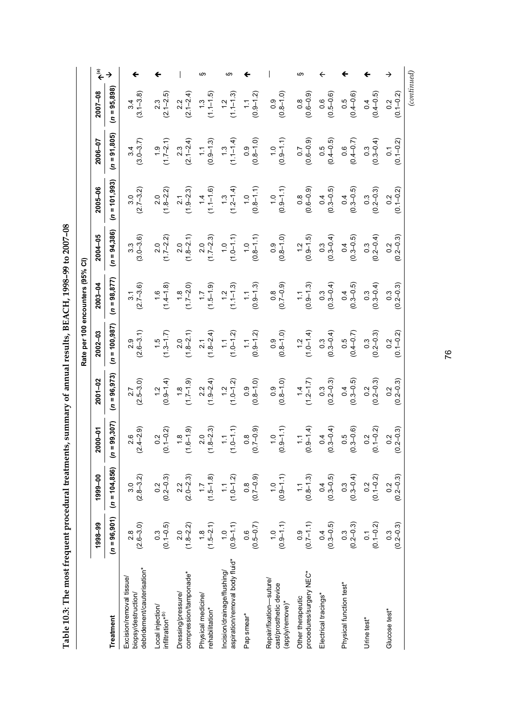| <b>CONNECT SECTION FOR</b><br>I          |
|------------------------------------------|
| i                                        |
|                                          |
| こうこうちょう しょうしょうりょう                        |
|                                          |
|                                          |
| $-1.76$<br>l                             |
| $\overline{\phantom{a}}$<br>1 م1 م1<br>I |

|                                  | $\begin{picture}(20,20) \put(0,0){\line(1,0){10}} \put(15,0){\line(1,0){10}} \put(15,0){\line(1,0){10}} \put(15,0){\line(1,0){10}} \put(15,0){\line(1,0){10}} \put(15,0){\line(1,0){10}} \put(15,0){\line(1,0){10}} \put(15,0){\line(1,0){10}} \put(15,0){\line(1,0){10}} \put(15,0){\line(1,0){10}} \put(15,0){\line(1,0){10}} \put(15,0){\line(1$ |                  |                                                                              |                                                  |                                              | ဖာ                                    | ഗ                                                             |                                           |                                                                      | ഗ                                            | ←                                                     |                                                       |                                                   |                                   |             |
|----------------------------------|-----------------------------------------------------------------------------------------------------------------------------------------------------------------------------------------------------------------------------------------------------------------------------------------------------------------------------------------------------|------------------|------------------------------------------------------------------------------|--------------------------------------------------|----------------------------------------------|---------------------------------------|---------------------------------------------------------------|-------------------------------------------|----------------------------------------------------------------------|----------------------------------------------|-------------------------------------------------------|-------------------------------------------------------|---------------------------------------------------|-----------------------------------|-------------|
|                                  | 2007-08                                                                                                                                                                                                                                                                                                                                             | $(n = 95,898)$   | $(3.1 - 3.8)$                                                                | $(2.1 - 2.5)$                                    | $2.2$<br>(2.1–2.4)                           | $(1.1 - 1.5)$                         | $(1.1 - 1.3)$                                                 | $(0.9 - 1.2)$<br>$\overline{\mathbb{C}}$  | $(0.8 - 1.0)$<br>0.9                                                 | $(0.6 - 0.9)$                                | $(0.5 - 0.6)$                                         | $0.5$<br>$(0.4 - 0.6)$                                | $(0.4 - 0.5)$                                     | $0.2$<br>(0.1–0.2)                | (continued) |
|                                  | 2006-07                                                                                                                                                                                                                                                                                                                                             | $(n = 91, 805)$  | $(3.0 - 3.7)$<br>3.4                                                         | $(1.7-2.1)$                                      | $(2.1 - 2.4)$                                | $(0.9 - 1.3)$<br>$\tilde{z}$          | $(1.1-1.4)$                                                   | $(0.8 - 1.0)$                             | $(0.9 - 1.1)$                                                        | $(0.6 - 0.9)$                                | $0.5$<br>(0.4–0.5)                                    | $(0.4 - 0.7)$                                         | $(0.3 - 0.4)$                                     | $(0.1 - 0.2)$<br>0.1              |             |
|                                  | $2005 - 06$                                                                                                                                                                                                                                                                                                                                         | $(n = 101, 993)$ | $(2.7 - 3.2)$<br>3.0                                                         | $(1.8-2.2)$                                      | $(1.9-2.3)$                                  | $(1.1 - 1.6)$                         | $(1.3$<br>$(1.2-1.4)$                                         | $(0.8 - 1.1)$<br>$\frac{0}{1}$            | $(0.9 - 1.1)$                                                        | $(0.8$<br>(0.6–0.9)                          | $0.4$<br>(0.3–0.5)                                    | $(0.3 - 0.5)$                                         | $(0.3$<br>$(0.2 - 0.3)$                           | $(0.1 - 0.2)$<br>0.2              |             |
|                                  | 2004-05                                                                                                                                                                                                                                                                                                                                             | $(n = 94,386)$   | $3.3$<br>$(3.0 - 3.6)$                                                       | $(1.7 - 2.2)$                                    | $(1.8-2.1)$                                  | $(1.7-2.3)$                           | $(1.0 - 1.1)$                                                 | $(0.8-1.1)$                               | $(0.8 - 1.0)$                                                        | $(0.9 - 1.5)$                                | $0.3$<br>(0.3–0.4)                                    | $0.4$<br>(0.3–0.5)                                    | $0.3$<br>(0.2–0.4)                                | $(0.2 - 0.3)$<br>0.2              |             |
| Rate per 100 encounters (95% CI) | $2003 - 04$                                                                                                                                                                                                                                                                                                                                         | $(n = 98, 877)$  | $(2.7 - 3.6)$<br>$\overline{3}$                                              | $(1.6$<br>$(1.4-1.8)$                            | $(1.8$<br>(1.7–2.0)                          | $(1.5 - 1.9)$                         | $(1.1 - 1.3)$                                                 | $(0.9 - 1.3)$                             | $(6.0 - 7.0)$                                                        | $(0.9 - 1.3)$                                | $0.3$<br>(0.3–0.4)                                    | $(0.3 - 0.5)$                                         | $(0.3 - 0.4)$                                     | $(0.2 - 0.3)$<br>$0.\overline{3}$ |             |
|                                  | $2002 - 03$                                                                                                                                                                                                                                                                                                                                         | $(n = 100, 987)$ | $(2.6 - 3.1)$<br>2.9                                                         | $(1.3 - 1.7)$                                    | $(1.8-2.1)$                                  | $(1.8-2.4)$                           | $(1.0 - 1.2)$                                                 | $(0.9 - 1.2)$<br>$\widetilde{\mathbb{C}}$ | $(0.8 - 1.0)$                                                        | $(1.0-1.4)$                                  | $0.3$<br>(0.3–0.4)                                    | $(0.5$<br>(0.4–0.7)                                   | $\begin{array}{c} 0.3 \\ (0.2 - 0.3) \end{array}$ | $(0.1 - 0.2)$<br>0.2              |             |
|                                  | $2001 - 02$                                                                                                                                                                                                                                                                                                                                         | $(n = 96, 973)$  | $2.7$<br>$(2.5-3.0)$                                                         | $(0.9-1.4)$                                      | $(1.7-1.9)$                                  | $(1.9-2.4)$                           | $(1.2$<br>$(1.0-1.2)$                                         | $(0.8-1.0)$                               | $(0.8 - 1.0)$                                                        | $(1.4$<br>(1.2–1.7)                          | $\begin{array}{c} 0.3 \\ (0.2{\rm -}0.3) \end{array}$ | $(0.3 - 0.5)$                                         | $0.2$<br>(0.2–0.3)                                | $(0.2 - 0.3)$<br>$0.\overline{2}$ |             |
|                                  | 2000-01                                                                                                                                                                                                                                                                                                                                             | $= 99,307$<br>S  | $(2.4 - 2.9)$<br>2.6                                                         | $0.2$<br>(0.1-0.2)                               | $(1.8$<br>(1.6–1.9)                          | $(1.8-2.3)$                           | $(1.0 - 1.1)$                                                 | $(0.7 - 0.9)$                             | $(0.9 - 1.1)$                                                        | $(0.9-1.4)$                                  | $(0.3 - 0.4)$                                         | $(0.3 - 0.6)$                                         | $0.2$<br>(0.1–0.2)                                | $(0.2 - 0.3)$<br>0.2              |             |
|                                  | 1999-00                                                                                                                                                                                                                                                                                                                                             | $(n = 104, 856)$ | $(2.8 - 3.2)$                                                                | $(0.2 - 0.3)$                                    | $(2.0 - 2.3)$                                | $(1.5 - 1.8)$                         | $(1.0 - 1.2)$                                                 | $(0.7 - 0.9)$                             | $(0.9 - 1.1)$                                                        | $(0.8 - 1.3)$                                | $(0.3 - 0.5)$                                         | $\begin{array}{c} 0.3 \\ (0.3{\rm -}0.4) \end{array}$ | $0.2$<br>(0.1-0.2)                                | $(0.2 - 0.3)$<br>0.2              |             |
|                                  | 1998-99                                                                                                                                                                                                                                                                                                                                             | $(n = 96, 901)$  | $(2.6 - 3.0)$                                                                | $(0.1 - 0.5)$                                    | $(1.8 - 2.2)$                                | $(1.5-2.1)$                           | $(0.9 - 1.1)$                                                 | $(0.5 - 0.7)$                             | $(0.9 - 1.1)$                                                        | $(0.7-1.1)$                                  | $(0.3 - 0.5)$                                         | $(0.3$<br>$(0.2 - 0.3)$                               | $0.1$<br>(0.1-0.2)                                | $(0.2 - 0.3)$<br>$\frac{3}{2}$    |             |
|                                  |                                                                                                                                                                                                                                                                                                                                                     | <b>Treatment</b> | debridement/cauterisation*<br>Excision/removal tissue<br>biopsy/destruction/ | Local injection/<br>infiltration* <sup>(b)</sup> | compression/tamponade*<br>Dressing/pressure/ | Physical medicine/<br>rehabilitation* | aspiration/removal body fluid*<br>Incision/drainage/flushing/ | Pap smear*                                | Repair/fixation-suture/<br>cast/prosthetic device<br>(apply/remove)* | procedures/surgery NEC*<br>Other therapeutic | Electrical tracings*                                  | Physical function test*                               | Urine test*                                       | Glucose test*                     |             |

76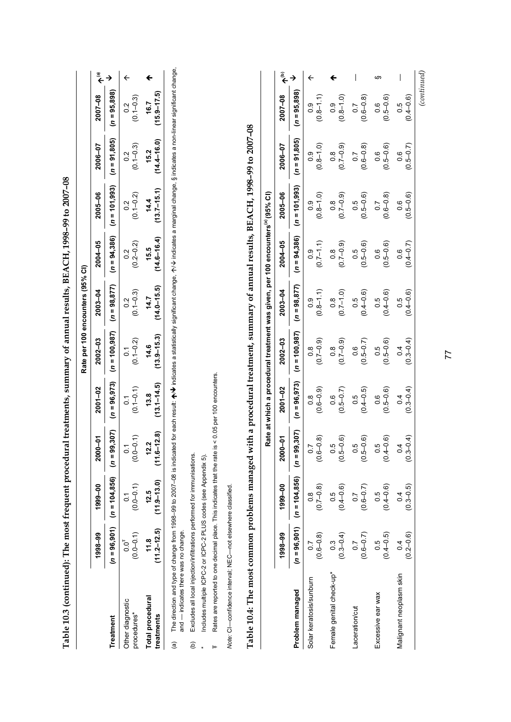| Table 10.3 (continued): The most frequent procedural treatments, summary of annual results, BEACH, 1998-99 to 2007-08                                                                                                                                                                   |                                |                         |                                      |                                 |                                                                                            |                                  |                                |                                   |                                    |                                   |                                                              |
|-----------------------------------------------------------------------------------------------------------------------------------------------------------------------------------------------------------------------------------------------------------------------------------------|--------------------------------|-------------------------|--------------------------------------|---------------------------------|--------------------------------------------------------------------------------------------|----------------------------------|--------------------------------|-----------------------------------|------------------------------------|-----------------------------------|--------------------------------------------------------------|
|                                                                                                                                                                                                                                                                                         |                                |                         |                                      |                                 |                                                                                            | Rate per 100 encounters (95% CI) |                                |                                   |                                    |                                   |                                                              |
|                                                                                                                                                                                                                                                                                         | 1998-99                        | 1999-00                 | $\overline{5}$<br><b>2000</b>        | 2001-02                         | $2002 - 03$                                                                                | 2003-04                          | $2004 - 05$                    | 2005-06                           | 2006-07                            | 2007-08                           | $\begin{matrix} \bar{\mathbf{e}} \\ \mathbf{+} \end{matrix}$ |
| Treatment                                                                                                                                                                                                                                                                               | $(n = 96, 901)$                | $(n = 104, 856)$        | $(n = 99, 307)$                      | $(n = 96, 973)$                 | $(n = 100, 987)$                                                                           | $(n = 98, 877)$                  | $(n = 94,386)$                 | $(n = 101,993)$                   | $= 91,805$<br>S                    | $= 95,898$<br>ۊ                   | $\rightarrow$                                                |
| Other diagnostic<br>procedures*                                                                                                                                                                                                                                                         | $(0.0 - 0.1)$<br>$0.0^{+}$     | $(0.0 - 0.1)$           | $(0.0 - 0.1)$                        | $(0.1 - 0.1)$<br>$\overline{0}$ | $(0.1 - 0.2)$<br>$\overline{c}$                                                            | $(0.1 - 0.3)$<br>0.2             | $(0.2 - 0.2)$<br>0.2           | $(0.1 - 0.2)$<br>0.2              | $(0.1 - 0.3)$<br>0.2               | $(0.1 - 0.3)$<br>0.2              | $\leftarrow$                                                 |
| Total procedural<br>treatments                                                                                                                                                                                                                                                          | $(11.2 - 12.5)$<br>11.8        | $(11.9 - 13.0)$<br>12.5 | $(11.6 - 12.8)$<br>Ņ<br>$\mathbf{r}$ | $(13.1 - 14.5)$<br>13.8         | $(13.9 - 15.3)$<br>14.6                                                                    | $(14.0 - 15.5)$<br>14.7          | $(14.6 - 16.4)$<br>15.5        | $(13.7 - 15.1)$<br>14.4           | $(14.4 - 16.0)$<br>15.2            | $(15.9 - 17.5)$<br>16.7           | ←                                                            |
| The direction and type of change from 1998–99 to 2007–08 is indicated for each result: ★/♦ indicates a statistically significant change, $\gamma$ /↓ indicates a marginal change, § indicates a non-linear significant change.<br>and - indicates there was no change.<br>$\widehat{a}$ |                                |                         |                                      |                                 |                                                                                            |                                  |                                |                                   |                                    |                                   |                                                              |
| Excludes all local injection/infiltrations performed for immunisations.<br>ê                                                                                                                                                                                                            |                                |                         |                                      |                                 |                                                                                            |                                  |                                |                                   |                                    |                                   |                                                              |
| Rates are reported to one decimal place. This indicates that the rate i<br>Includes multiple ICPC-2 or ICPC-2 PLUS codes (see Appendix 5).<br>⊬                                                                                                                                         |                                |                         |                                      | is < 0.05 per 100 encounters.   |                                                                                            |                                  |                                |                                   |                                    |                                   |                                                              |
| Note: CI-confidence interval; NEC-not elsewhere classified.                                                                                                                                                                                                                             |                                |                         |                                      |                                 |                                                                                            |                                  |                                |                                   |                                    |                                   |                                                              |
| Table 10.4: The most common problems managed with a procedural treatment, summary of annual results, BEACH, 1998-99 to 2007-08                                                                                                                                                          |                                |                         |                                      |                                 |                                                                                            |                                  |                                |                                   |                                    |                                   |                                                              |
|                                                                                                                                                                                                                                                                                         |                                |                         |                                      |                                 | Rate at which a procedural treatment was given, per 100 encounters <sup>(a)</sup> (95% CI) |                                  |                                |                                   |                                    |                                   |                                                              |
|                                                                                                                                                                                                                                                                                         | 1998-99                        | 1999-00                 | $\sum_{i=1}^{n}$<br><b>2000</b>      | 2001-02                         | 2002-03                                                                                    | 2003-04                          | 2004-05                        | 2005-06                           | 2006-07                            | 2007-08                           | $\widehat{\epsilon}$                                         |
| Problem managed                                                                                                                                                                                                                                                                         | $(n = 96, 901)$                | $(n = 104, 856)$        | $(n = 99, 307)$                      | $(n = 96, 973)$                 | $(n = 100, 987)$                                                                           | $= 98,877$<br>S                  | $(n = 94,386)$                 | $(n = 101, 993)$                  | $(n = 91,805)$                     | $= 95,898$<br>S                   | $\rightarrow$                                                |
| Solar keratosis/sunburn                                                                                                                                                                                                                                                                 | $(0.6 - 0.8)$                  | $(0.7 - 0.8)$           | $(0.6 - 0.8)$<br>$\dot{\circ}$       | $(0.6 - 0.9)$<br>$\frac{8}{1}$  | $(0.7 - 0.9)$<br>$\frac{8}{1}$                                                             | $(0.8 - 1.1)$                    | $(0.7 - 1.1)$<br>0.9           | $(0.8 - 1.0)$<br>$\overline{0}$ . | $(0.8 - 1.0)$<br>$\overline{0}$ .0 | $(0.8 - 1.1)$<br>$\overline{0}$ . | $\leftarrow$                                                 |
| Female genital check-up*                                                                                                                                                                                                                                                                | $(0.3 - 0.4)$<br>$\frac{3}{2}$ | $0.5$<br>$(0.4-0.6)$    | $(0.5 - 0.6)$                        | $(0.5 - 0.7)$<br>0.6            | $(0.7 - 0.9)$<br>$\frac{8}{1}$                                                             | $(0.7 - 1.0)$<br>$\frac{8}{2}$   | $(0.7 - 0.9)$<br>$\frac{8}{1}$ | $(0.7 - 0.9)$<br>0.8              | $(0.7 - 0.9)$<br>0.8               | $(0.8 - 1.0)$<br>0.9              | ←                                                            |
| Laceration/cut                                                                                                                                                                                                                                                                          | $(0.6 - 0.7)$                  | $(0.6 - 0.7)$           | $(0.5 - 0.6)$<br>Ю<br>$\circ$        | $(0.4 - 0.5)$<br>0.5            | $(0.5 - 0.7)$<br>0.6                                                                       | $(0.4 - 0.6)$<br>0.5             | $(0.5 - 0.6)$<br>0.5           | $(0.5 - 0.6)$<br>$0.\overline{5}$ | $(0.6 - 0.8)$<br>$\overline{0}$ .7 | $(0.6 - 0.8)$<br>$\overline{0}$ . |                                                              |
| Excessive ear wax                                                                                                                                                                                                                                                                       | $(0.4 - 0.5)$<br>0.5           | $(0.4 - 0.6)$<br>0.5    | $(0.5$<br>$(0.4 - 0.6)$              | $(0.5 - 0.6)$<br>0.6            | $(0.5 - 0.6)$<br>0.5                                                                       | $(0.4 - 0.6)$<br>0.5             | $(0.5 - 0.6)$<br>0.6           | $(0.6 - 0.8)$<br>$\overline{0}$   | $(0.5 - 0.6)$<br>0.6               | $(0.5 - 0.6)$<br>0.6              | ဖာ                                                           |
| Malignant neoplasm skin                                                                                                                                                                                                                                                                 | $(0.2 - 0.6)$<br>0.4           | $(0.3 - 0.5)$<br>0.4    | $(0.3 - 0.4)$<br>$\circ$             | $(0.3 - 0.4)$<br>0.4            | $(0.3 - 0.4)$<br>$\overline{0}$                                                            | $(0.4 - 0.6)$<br>0.5             | $(0.4 - 0.7)$<br>0.6           | $(0.5 - 0.6)$<br>0.6              | $(0.5 - 0.7)$<br>0.6               | $(0.4 - 0.6)$<br>0.5              |                                                              |

*(continued)*

77